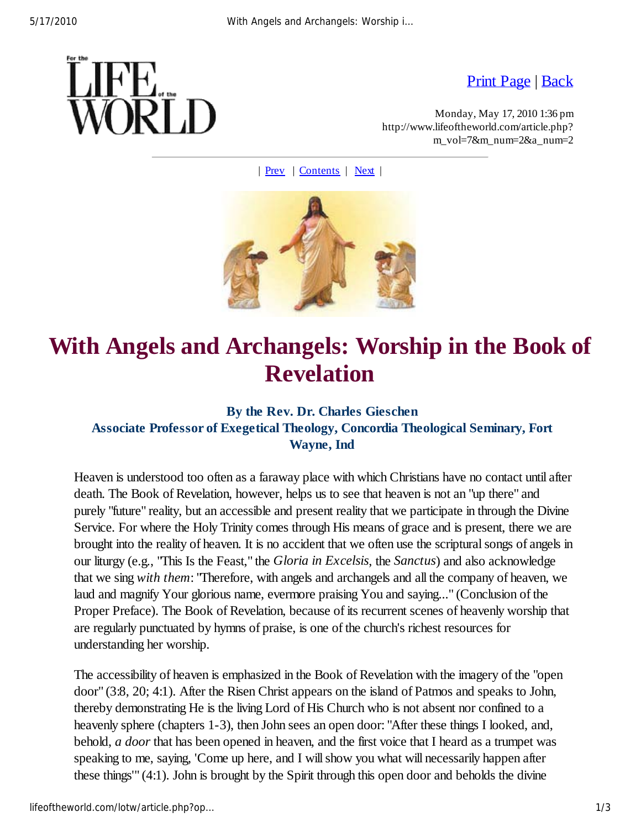

Print Page | Back

Monday, May 17, 2010 1:36 pm http://www.lifeoftheworld.com/article.php? m\_vol=7&m\_num=2&a\_num=2

| Prev | Contents | Next |



## **With Angels and Archangels: Worship in the Book of Revelation**

## **By the Rev. Dr. Charles Gieschen**

## **Associate Professor of Exegetical Theology, Concordia Theological Seminary, Fort Wayne, Ind**

Heaven is understood too often as a faraway place with which Christians have no contact until after death. The Book of Revelation, however, helps us to see that heaven is not an "up there" and purely "future" reality, but an accessible and present reality that we participate in through the Divine Service. For where the Holy Trinity comes through His means of grace and is present, there we are brought into the reality of heaven. It is no accident that we often use the scriptural songs of angels in our liturgy (e.g., "This Is the Feast," the *Gloria in Excelsis*, the *Sanctus*) and also acknowledge that we sing *with them*: "Therefore, with angels and archangels and all the company of heaven, we laud and magnify Your glorious name, evermore praising You and saying..." (Conclusion of the Proper Preface). The Book of Revelation, because of its recurrent scenes of heavenly worship that are regularly punctuated by hymns of praise, is one of the church's richest resources for understanding her worship.

The accessibility of heaven is emphasized in the Book of Revelation with the imagery of the "open door" (3:8, 20; 4:1). After the Risen Christ appears on the island of Patmos and speaks to John, thereby demonstrating He is the living Lord of His Church who is not absent nor confined to a heavenly sphere (chapters 1-3), then John sees an open door: "After these things I looked, and, behold, *a door* that has been opened in heaven, and the first voice that I heard as a trumpet was speaking to me, saying, 'Come up here, and I will show you what will necessarily happen after these things'" (4:1). John is brought by the Spirit through this open door and beholds the divine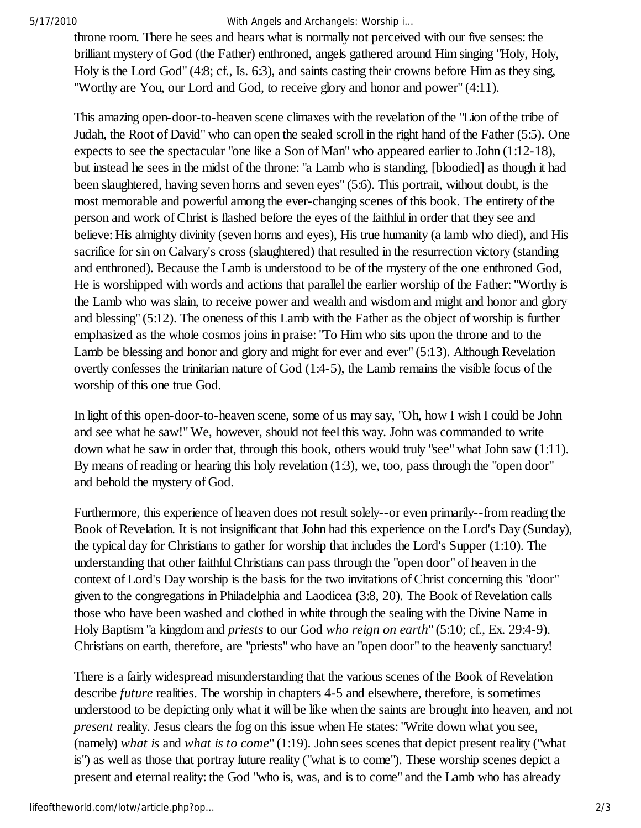5/17/2010 With Angels and Archangels: Worship i…

throne room. There he sees and hears what is normally not perceived with our five senses: the brilliant mystery of God (the Father) enthroned, angels gathered around Him singing "Holy, Holy, Holy is the Lord God" (4:8; cf., Is. 6:3), and saints casting their crowns before Him as they sing, "Worthy are You, our Lord and God, to receive glory and honor and power" (4:11).

This amazing open-door-to-heaven scene climaxes with the revelation of the "Lion of the tribe of Judah, the Root of David" who can open the sealed scroll in the right hand of the Father (5:5). One expects to see the spectacular "one like a Son of Man" who appeared earlier to John (1:12-18), but instead he sees in the midst of the throne: "a Lamb who is standing, [bloodied] as though it had been slaughtered, having seven horns and seven eyes" (5:6). This portrait, without doubt, is the most memorable and powerful among the ever-changing scenes of this book. The entirety of the person and work of Christ is flashed before the eyes of the faithful in order that they see and believe: His almighty divinity (seven horns and eyes), His true humanity (a lamb who died), and His sacrifice for sin on Calvary's cross (slaughtered) that resulted in the resurrection victory (standing and enthroned). Because the Lamb is understood to be of the mystery of the one enthroned God, He is worshipped with words and actions that parallel the earlier worship of the Father: "Worthy is the Lamb who was slain, to receive power and wealth and wisdom and might and honor and glory and blessing" (5:12). The oneness of this Lamb with the Father as the object of worship is further emphasized as the whole cosmos joins in praise: "To Him who sits upon the throne and to the Lamb be blessing and honor and glory and might for ever and ever" (5:13). Although Revelation overtly confesses the trinitarian nature of God (1:4-5), the Lamb remains the visible focus of the worship of this one true God.

In light of this open-door-to-heaven scene, some of us may say, "Oh, how I wish I could be John and see what he saw!" We, however, should not feel this way. John was commanded to write down what he saw in order that, through this book, others would truly "see" what John saw (1:11). By means of reading or hearing this holy revelation (1:3), we, too, pass through the "open door" and behold the mystery of God.

Furthermore, this experience of heaven does not result solely--or even primarily--from reading the Book of Revelation. It is not insignificant that John had this experience on the Lord's Day (Sunday), the typical day for Christians to gather for worship that includes the Lord's Supper (1:10). The understanding that other faithful Christians can pass through the "open door" of heaven in the context of Lord's Day worship is the basis for the two invitations of Christ concerning this "door" given to the congregations in Philadelphia and Laodicea (3:8, 20). The Book of Revelation calls those who have been washed and clothed in white through the sealing with the Divine Name in Holy Baptism "a kingdom and *priests* to our God *who reign on earth*" (5:10; cf., Ex. 29:4-9). Christians on earth, therefore, are "priests" who have an "open door" to the heavenly sanctuary!

There is a fairly widespread misunderstanding that the various scenes of the Book of Revelation describe *future* realities. The worship in chapters 4-5 and elsewhere, therefore, is sometimes understood to be depicting only what it will be like when the saints are brought into heaven, and not *present* reality. Jesus clears the fog on this issue when He states: "Write down what you see, (namely) *what is* and *what is to come*" (1:19). John sees scenes that depict present reality ("what is") as well as those that portray future reality ("what is to come"). These worship scenes depict a present and eternal reality: the God "who is, was, and is to come" and the Lamb who has already